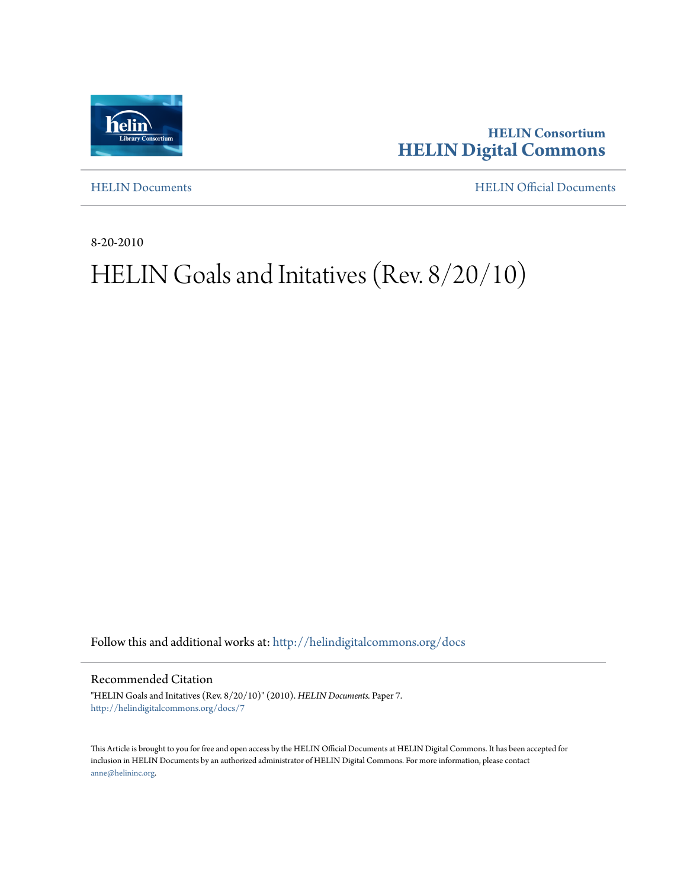

**HELIN Consortium [HELIN Digital Commons](http://helindigitalcommons.org?utm_source=helindigitalcommons.org%2Fdocs%2F7&utm_medium=PDF&utm_campaign=PDFCoverPages)**

[HELIN Documents](http://helindigitalcommons.org/docs?utm_source=helindigitalcommons.org%2Fdocs%2F7&utm_medium=PDF&utm_campaign=PDFCoverPages) [HELIN Official Documents](http://helindigitalcommons.org/documents?utm_source=helindigitalcommons.org%2Fdocs%2F7&utm_medium=PDF&utm_campaign=PDFCoverPages)

8-20-2010

## HELIN Goals and Initatives (Rev. 8/20/10)

Follow this and additional works at: [http://helindigitalcommons.org/docs](http://helindigitalcommons.org/docs?utm_source=helindigitalcommons.org%2Fdocs%2F7&utm_medium=PDF&utm_campaign=PDFCoverPages)

Recommended Citation

"HELIN Goals and Initatives (Rev. 8/20/10)" (2010). *HELIN Documents.* Paper 7. [http://helindigitalcommons.org/docs/7](http://helindigitalcommons.org/docs/7?utm_source=helindigitalcommons.org%2Fdocs%2F7&utm_medium=PDF&utm_campaign=PDFCoverPages)

This Article is brought to you for free and open access by the HELIN Official Documents at HELIN Digital Commons. It has been accepted for inclusion in HELIN Documents by an authorized administrator of HELIN Digital Commons. For more information, please contact [anne@helininc.org.](mailto:anne@helininc.org)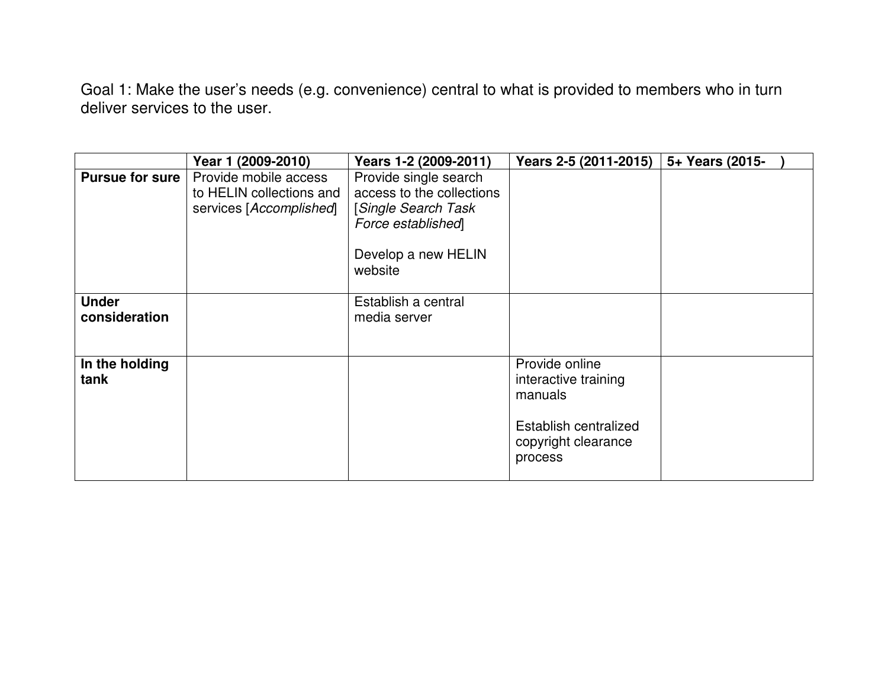Goal 1: Make the user's needs (e.g. convenience) central to what is provided to members who in turn deliver services to the user.

|                               | Year 1 (2009-2010)                                                           | Years 1-2 (2009-2011)                                                                                                                  | Years 2-5 (2011-2015)                                                                                        | 5+ Years (2015- |
|-------------------------------|------------------------------------------------------------------------------|----------------------------------------------------------------------------------------------------------------------------------------|--------------------------------------------------------------------------------------------------------------|-----------------|
| <b>Pursue for sure</b>        | Provide mobile access<br>to HELIN collections and<br>services [Accomplished] | Provide single search<br>access to the collections<br><b>Single Search Task</b><br>Force established<br>Develop a new HELIN<br>website |                                                                                                              |                 |
| <b>Under</b><br>consideration |                                                                              | Establish a central<br>media server                                                                                                    |                                                                                                              |                 |
| In the holding<br>tank        |                                                                              |                                                                                                                                        | Provide online<br>interactive training<br>manuals<br>Establish centralized<br>copyright clearance<br>process |                 |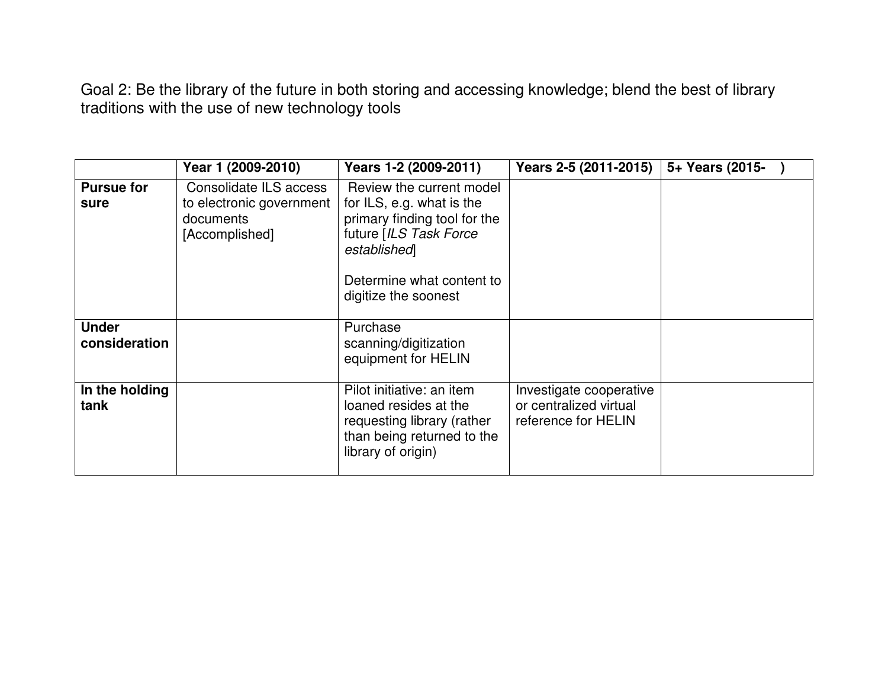Goal 2: Be the library of the future in both storing and accessing knowledge; blend the best of library traditions with the use of new technology tools

|                               | Year 1 (2009-2010)                                                                | Years 1-2 (2009-2011)                                                                                                                                                               | Years 2-5 (2011-2015)                                                    | 5+ Years (2015- |
|-------------------------------|-----------------------------------------------------------------------------------|-------------------------------------------------------------------------------------------------------------------------------------------------------------------------------------|--------------------------------------------------------------------------|-----------------|
| <b>Pursue for</b><br>sure     | Consolidate ILS access<br>to electronic government<br>documents<br>[Accomplished] | Review the current model<br>for ILS, e.g. what is the<br>primary finding tool for the<br>future [ILS Task Force<br>established<br>Determine what content to<br>digitize the soonest |                                                                          |                 |
| <b>Under</b><br>consideration |                                                                                   | Purchase<br>scanning/digitization<br>equipment for HELIN                                                                                                                            |                                                                          |                 |
| In the holding<br>tank        |                                                                                   | Pilot initiative: an item<br>loaned resides at the<br>requesting library (rather<br>than being returned to the<br>library of origin)                                                | Investigate cooperative<br>or centralized virtual<br>reference for HELIN |                 |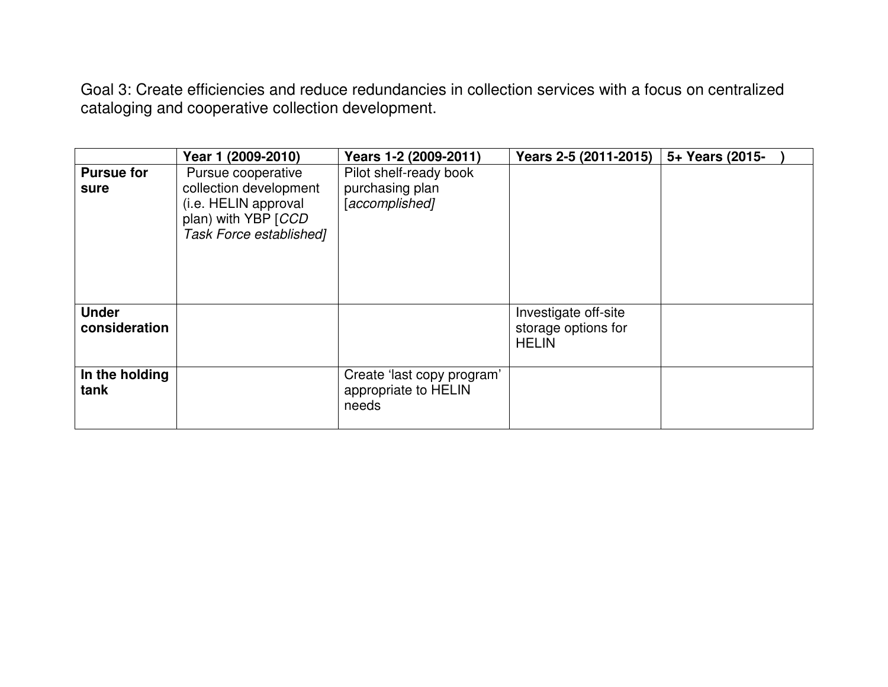Goal 3: Create efficiencies and reduce redundancies in collection services with a focus on centralizedcataloging and cooperative collection development.

|                               | Year 1 (2009-2010)                                                                                                     | Years 1-2 (2009-2011)                                       | Years 2-5 (2011-2015)                                       | 5+ Years (2015- |
|-------------------------------|------------------------------------------------------------------------------------------------------------------------|-------------------------------------------------------------|-------------------------------------------------------------|-----------------|
| <b>Pursue for</b><br>sure     | Pursue cooperative<br>collection development<br>(i.e. HELIN approval<br>plan) with YBP [CCD<br>Task Force established] | Pilot shelf-ready book<br>purchasing plan<br>[accomplished] |                                                             |                 |
| <b>Under</b><br>consideration |                                                                                                                        |                                                             | Investigate off-site<br>storage options for<br><b>HELIN</b> |                 |
| In the holding<br>tank        |                                                                                                                        | Create 'last copy program'<br>appropriate to HELIN<br>needs |                                                             |                 |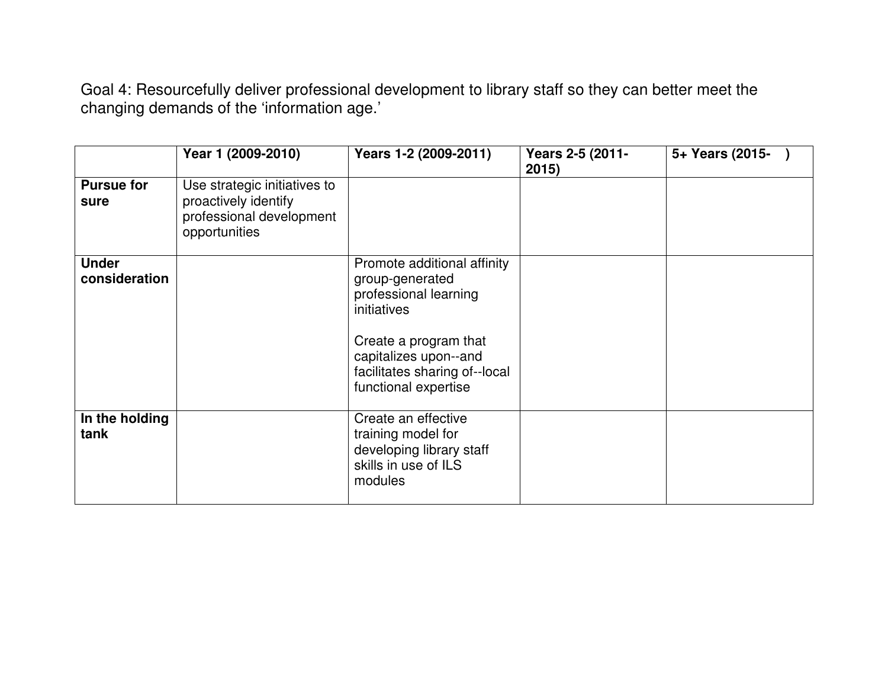Goal 4: Resourcefully deliver professional development to library staff so they can better meet the changing demands of the 'information age.'

|                               | Year 1 (2009-2010)                                                                                | Years 1-2 (2009-2011)                                                                                                                                                                             | Years 2-5 (2011-<br>2015) | 5+ Years (2015- |
|-------------------------------|---------------------------------------------------------------------------------------------------|---------------------------------------------------------------------------------------------------------------------------------------------------------------------------------------------------|---------------------------|-----------------|
| <b>Pursue for</b><br>sure     | Use strategic initiatives to<br>proactively identify<br>professional development<br>opportunities |                                                                                                                                                                                                   |                           |                 |
| <b>Under</b><br>consideration |                                                                                                   | Promote additional affinity<br>group-generated<br>professional learning<br>initiatives<br>Create a program that<br>capitalizes upon--and<br>facilitates sharing of--local<br>functional expertise |                           |                 |
| In the holding<br>tank        |                                                                                                   | Create an effective<br>training model for<br>developing library staff<br>skills in use of ILS<br>modules                                                                                          |                           |                 |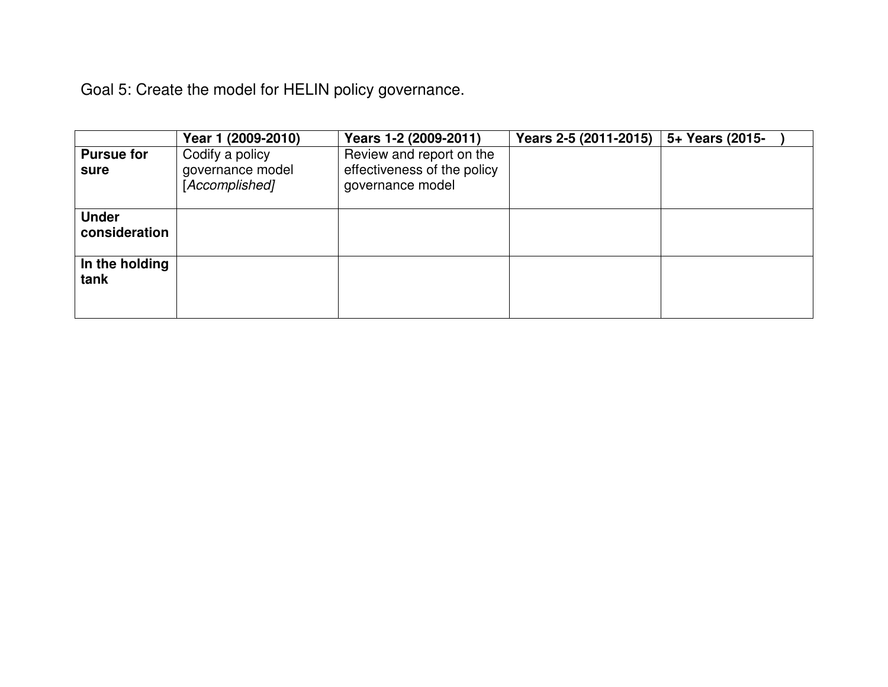Goal 5: Create the model for HELIN policy governance.

|                               | Year 1 (2009-2010)                                    | Years 1-2 (2009-2011)                                                       | Years 2-5 (2011-2015) | 5+ Years (2015- |
|-------------------------------|-------------------------------------------------------|-----------------------------------------------------------------------------|-----------------------|-----------------|
| <b>Pursue for</b><br>sure     | Codify a policy<br>governance model<br>[Accomplished] | Review and report on the<br>effectiveness of the policy<br>governance model |                       |                 |
| <b>Under</b><br>consideration |                                                       |                                                                             |                       |                 |
| In the holding<br>tank        |                                                       |                                                                             |                       |                 |